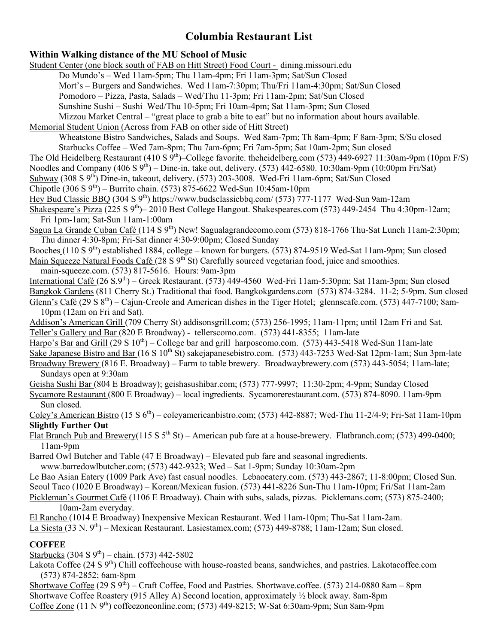# **Columbia Restaurant List**

## **Within Walking distance of the MU School of Music**

Student Center (one block south of FAB on Hitt Street) Food Court - dining.missouri.edu Do Mundo's – Wed 11am-5pm; Thu 11am-4pm; Fri 11am-3pm; Sat/Sun Closed Mort's – Burgers and Sandwiches. Wed 11am-7:30pm; Thu/Fri 11am-4:30pm; Sat/Sun Closed Pomodoro – Pizza, Pasta, Salads – Wed/Thu 11-3pm; Fri 11am-2pm; Sat/Sun Closed Sunshine Sushi – Sushi Wed/Thu 10-5pm; Fri 10am-4pm; Sat 11am-3pm; Sun Closed Mizzou Market Central – "great place to grab a bite to eat" but no information about hours available.

Memorial Student Union (Across from FAB on other side of Hitt Street)

Wheatstone Bistro Sandwiches, Salads and Soups. Wed 8am-7pm; Th 8am-4pm; F 8am-3pm; S/Su closed Starbucks Coffee – Wed 7am-8pm; Thu 7am-6pm; Fri 7am-5pm; Sat 10am-2pm; Sun closed

The Old Heidelberg Restaurant (410 S 9<sup>th</sup>)–College favorite. theheidelberg.com (573) 449-6927 11:30am-9pm (10pm F/S)

Noodles and Company  $(406 S 9<sup>th</sup>)$  – Dine-in, take out, delivery. (573) 442-6580. 10:30am-9pm (10:00pm Fri/Sat)

Subway (308 S 9<sup>th</sup>) Dine-in, takeout, delivery. (573) 203-3008. Wed-Fri 11am-6pm; Sat/Sun Closed

Chipotle  $(306 S 9<sup>th</sup>)$  – Burrito chain. (573) 875-6622 Wed-Sun 10:45am-10pm

Hey Bud Classic BBQ (304 S 9th) https://www.budsclassicbbq.com/ (573) 777-1177 Wed-Sun 9am-12am

Shakespeare's Pizza (225 S  $9^{th}$ )– 2010 Best College Hangout. Shakespeares.com (573) 449-2454 Thu 4:30pm-12am; Fri 1pm-1am; Sat-Sun 11am-1:00am

Sagua La Grande Cuban Café (114 S 9th) New! Sagualagrandecomo.com (573) 818-1766 Thu-Sat Lunch 11am-2:30pm; Thu dinner 4:30-8pm; Fri-Sat dinner 4:30-9:00pm; Closed Sunday

Booches (110 S 9<sup>th</sup>) established 1884, college – known for burgers. (573) 874-9519 Wed-Sat 11am-9pm; Sun closed Main Squeeze Natural Foods Café (28 S 9<sup>th</sup> St) Carefully sourced vegetarian food, juice and smoothies.

main-squeeze.com. (573) 817-5616. Hours: 9am-3pm

International Café (26 S.9<sup>th</sup>) – Greek Restaurant. (573) 449-4560 Wed-Fri 11am-5:30pm; Sat 11am-3pm; Sun closed Bangkok Gardens (811 Cherry St.) Traditional thai food. Bangkokgardens.com (573) 874-3284. 11-2; 5-9pm. Sun closed Glenn's Café (29 S  $8^{th}$ ) – Cajun-Creole and American dishes in the Tiger Hotel; glennscafe.com. (573) 447-7100; 8am-10pm (12am on Fri and Sat).

Addison's American Grill (709 Cherry St) addisonsgrill.com; (573) 256-1995; 11am-11pm; until 12am Fri and Sat. Teller's Gallery and Bar (820 E Broadway) - tellerscomo.com. (573) 441-8355; 11am-late

Harpo's Bar and Grill  $(29 \text{ S } 10^{\text{th}})$  – College bar and grill harposcomo.com. (573) 443-5418 Wed-Sun 11am-late Sake Japanese Bistro and Bar (16 S 10<sup>th</sup> St) sakejapanesebistro.com. (573) 443-7253 Wed-Sat 12pm-1am; Sun 3pm-late Broadway Brewery (816 E. Broadway) – Farm to table brewery. Broadwaybrewery.com (573) 443-5054; 11am-late;

Sundays open at 9:30am

Geisha Sushi Bar (804 E Broadway); geishasushibar.com; (573) 777-9997; 11:30-2pm; 4-9pm; Sunday Closed Sycamore Restaurant (800 E Broadway) – local ingredients. Sycamorerestaurant.com. (573) 874-8090. 11am-9pm Sun closed.

Coley's American Bistro (15 S  $6<sup>th</sup>$ ) – coleyamericanbistro.com; (573) 442-8887; Wed-Thu 11-2/4-9; Fri-Sat 11am-10pm **Slightly Further Out**

Flat Branch Pub and Brewery(115 S  $5<sup>th</sup>$  St) – American pub fare at a house-brewery. Flatbranch.com; (573) 499-0400; 11am-9pm

Barred Owl Butcher and Table (47 E Broadway) – Elevated pub fare and seasonal ingredients. www.barredowlbutcher.com; (573) 442-9323; Wed – Sat 1-9pm; Sunday 10:30am-2pm

Le Bao Asian Eatery (1009 Park Ave) fast casual noodles. Lebaoeatery.com. (573) 443-2867; 11-8:00pm; Closed Sun. Seoul Taco (1020 E Broadway) – Korean/Mexican fusion. (573) 441-8226 Sun-Thu 11am-10pm; Fri/Sat 11am-2am

Pickleman's Gourmet Café (1106 E Broadway). Chain with subs, salads, pizzas. Picklemans.com; (573) 875-2400; 10am-2am everyday.

El Rancho (1014 E Broadway) Inexpensive Mexican Restaurant. Wed 11am-10pm; Thu-Sat 11am-2am.

La Siesta (33 N. 9<sup>th</sup>) – Mexican Restaurant. Lasiestamex.com; (573) 449-8788; 11am-12am; Sun closed.

### **COFFEE**

Starbucks (304 S  $9^{th}$ ) – chain. (573) 442-5802

Lakota Coffee (24 S 9<sup>th</sup>) Chill coffeehouse with house-roasted beans, sandwiches, and pastries. Lakotacoffee.com (573) 874-2852; 6am-8pm

Shortwave Coffee (29 S  $9^{th}$ ) – Craft Coffee, Food and Pastries. Shortwave.coffee. (573) 214-0880 8am – 8pm Shortwave Coffee Roastery (915 Alley A) Second location, approximately ½ block away. 8am-8pm Coffee Zone  $(11 \text{ N } 9^{\text{th}})$  coffeezoneonline.com; (573) 449-8215; W-Sat 6:30am-9pm; Sun 8am-9pm